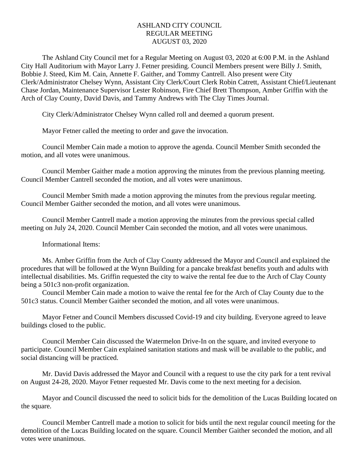## ASHLAND CITY COUNCIL REGULAR MEETING AUGUST 03, 2020

The Ashland City Council met for a Regular Meeting on August 03, 2020 at 6:00 P.M. in the Ashland City Hall Auditorium with Mayor Larry J. Fetner presiding. Council Members present were Billy J. Smith, Bobbie J. Steed, Kim M. Cain, Annette F. Gaither, and Tommy Cantrell. Also present were City Clerk/Administrator Chelsey Wynn, Assistant City Clerk/Court Clerk Robin Catrett, Assistant Chief/Lieutenant Chase Jordan, Maintenance Supervisor Lester Robinson, Fire Chief Brett Thompson, Amber Griffin with the Arch of Clay County, David Davis, and Tammy Andrews with The Clay Times Journal.

City Clerk/Administrator Chelsey Wynn called roll and deemed a quorum present.

Mayor Fetner called the meeting to order and gave the invocation.

Council Member Cain made a motion to approve the agenda. Council Member Smith seconded the motion, and all votes were unanimous.

Council Member Gaither made a motion approving the minutes from the previous planning meeting. Council Member Cantrell seconded the motion, and all votes were unanimous.

Council Member Smith made a motion approving the minutes from the previous regular meeting. Council Member Gaither seconded the motion, and all votes were unanimous.

Council Member Cantrell made a motion approving the minutes from the previous special called meeting on July 24, 2020. Council Member Cain seconded the motion, and all votes were unanimous.

Informational Items:

Ms. Amber Griffin from the Arch of Clay County addressed the Mayor and Council and explained the procedures that will be followed at the Wynn Building for a pancake breakfast benefits youth and adults with intellectual disabilities. Ms. Griffin requested the city to waive the rental fee due to the Arch of Clay County being a 501c3 non-profit organization.

Council Member Cain made a motion to waive the rental fee for the Arch of Clay County due to the 501c3 status. Council Member Gaither seconded the motion, and all votes were unanimous.

Mayor Fetner and Council Members discussed Covid-19 and city building. Everyone agreed to leave buildings closed to the public.

Council Member Cain discussed the Watermelon Drive-In on the square, and invited everyone to participate. Council Member Cain explained sanitation stations and mask will be available to the public, and social distancing will be practiced.

Mr. David Davis addressed the Mayor and Council with a request to use the city park for a tent revival on August 24-28, 2020. Mayor Fetner requested Mr. Davis come to the next meeting for a decision.

Mayor and Council discussed the need to solicit bids for the demolition of the Lucas Building located on the square.

Council Member Cantrell made a motion to solicit for bids until the next regular council meeting for the demolition of the Lucas Building located on the square. Council Member Gaither seconded the motion, and all votes were unanimous.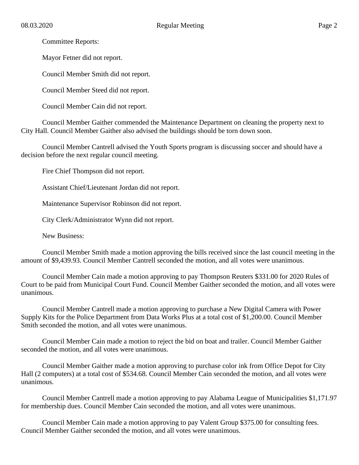Committee Reports:

Mayor Fetner did not report.

Council Member Smith did not report.

Council Member Steed did not report.

Council Member Cain did not report.

Council Member Gaither commended the Maintenance Department on cleaning the property next to City Hall. Council Member Gaither also advised the buildings should be torn down soon.

Council Member Cantrell advised the Youth Sports program is discussing soccer and should have a decision before the next regular council meeting.

Fire Chief Thompson did not report.

Assistant Chief/Lieutenant Jordan did not report.

Maintenance Supervisor Robinson did not report.

City Clerk/Administrator Wynn did not report.

New Business:

Council Member Smith made a motion approving the bills received since the last council meeting in the amount of \$9,439.93. Council Member Cantrell seconded the motion, and all votes were unanimous.

Council Member Cain made a motion approving to pay Thompson Reuters \$331.00 for 2020 Rules of Court to be paid from Municipal Court Fund. Council Member Gaither seconded the motion, and all votes were unanimous.

Council Member Cantrell made a motion approving to purchase a New Digital Camera with Power Supply Kits for the Police Department from Data Works Plus at a total cost of \$1,200.00. Council Member Smith seconded the motion, and all votes were unanimous.

Council Member Cain made a motion to reject the bid on boat and trailer. Council Member Gaither seconded the motion, and all votes were unanimous.

Council Member Gaither made a motion approving to purchase color ink from Office Depot for City Hall (2 computers) at a total cost of \$534.68. Council Member Cain seconded the motion, and all votes were unanimous.

Council Member Cantrell made a motion approving to pay Alabama League of Municipalities \$1,171.97 for membership dues. Council Member Cain seconded the motion, and all votes were unanimous.

Council Member Cain made a motion approving to pay Valent Group \$375.00 for consulting fees. Council Member Gaither seconded the motion, and all votes were unanimous.